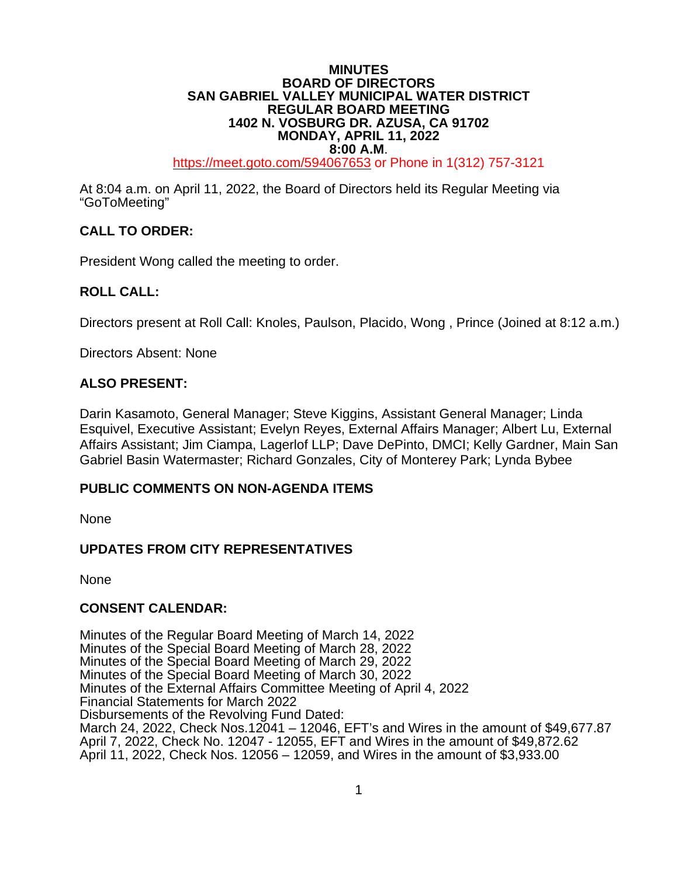### **MINUTES BOARD OF DIRECTORS SAN GABRIEL VALLEY MUNICIPAL WATER DISTRICT REGULAR BOARD MEETING 1402 N. VOSBURG DR. AZUSA, CA 91702 MONDAY, APRIL 11, 2022**

**8:00 A.M.**<br>[https://meet.goto.com/5](https://global.gotomeeting.com/join/6)94067653 or Phone in 1(312) 757-3121

At 8:04 a.m. on April 11, 2022, the Board of Directors held its Regular Meeting via "GoToMeeting"

# **CALL TO ORDER:**

President Wong called the meeting to order.

## **ROLL CALL:**

Directors present at Roll Call: Knoles, Paulson, Placido, Wong , Prince (Joined at 8:12 a.m.)

Directors Absent: None

## **ALSO PRESENT:**

Darin Kasamoto, General Manager; Steve Kiggins, Assistant General Manager; Linda Esquivel, Executive Assistant; Evelyn Reyes, External Affairs Manager; Albert Lu, External Affairs Assistant; Jim Ciampa, Lagerlof LLP; Dave DePinto, DMCI; Kelly Gardner, Main San Gabriel Basin Watermaster; Richard Gonzales, City of Monterey Park; Lynda Bybee

### **PUBLIC COMMENTS ON NON-AGENDA ITEMS**

None

### **UPDATES FROM CITY REPRESENTATIVES**

None

### **CONSENT CALENDAR:**

Minutes of the Regular Board Meeting of March 14, 2022 Minutes of the Special Board Meeting of March 28, 2022 Minutes of the Special Board Meeting of March 29, 2022 Minutes of the Special Board Meeting of March 30, 2022 Minutes of the External Affairs Committee Meeting of April 4, 2022 Financial Statements for March 2022 Disbursements of the Revolving Fund Dated: March 24, 2022, Check Nos.12041 – 12046, EFT's and Wires in the amount of \$49,677.87 April 7, 2022, Check No. 12047 - 12055, EFT and Wires in the amount of \$49,872.62 April 11, 2022, Check Nos. 12056 – 12059, and Wires in the amount of \$3,933.00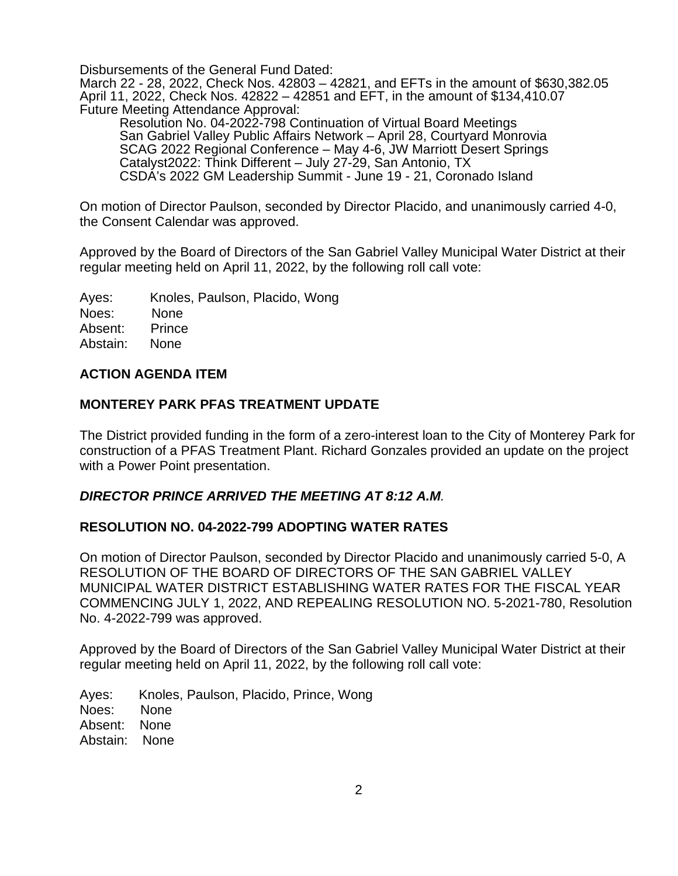Disbursements of the General Fund Dated:

March 22 - 28, 2022, Check Nos. 42803 – 42821, and EFTs in the amount of \$630,382.05 April 11, 2022, Check Nos. 42822 – 42851 and EFT, in the amount of \$134,410.07 Future Meeting Attendance Approval:

Resolution No. 04-2022-798 Continuation of Virtual Board Meetings San Gabriel Valley Public Affairs Network – April 28, Courtyard Monrovia SCAG 2022 Regional Conference – May 4-6, JW Marriott Desert Springs Catalyst2022: Think Different – July 27-29, San Antonio, TX CSDA's 2022 GM Leadership Summit - June 19 - 21, Coronado Island

On motion of Director Paulson, seconded by Director Placido, and unanimously carried 4-0, the Consent Calendar was approved.

Approved by the Board of Directors of the San Gabriel Valley Municipal Water District at their regular meeting held on April 11, 2022, by the following roll call vote:

Ayes: Knoles, Paulson, Placido, Wong Noes: None Absent: Prince Abstain: None

## **ACTION AGENDA ITEM**

## **MONTEREY PARK PFAS TREATMENT UPDATE**

The District provided funding in the form of a zero-interest loan to the City of Monterey Park for construction of a PFAS Treatment Plant. Richard Gonzales provided an update on the project with a Power Point presentation.

### *DIRECTOR PRINCE ARRIVED THE MEETING AT 8:12 A.M.*

## **RESOLUTION NO. 04-2022-799 ADOPTING WATER RATES**

On motion of Director Paulson, seconded by Director Placido and unanimously carried 5-0, A RESOLUTION OF THE BOARD OF DIRECTORS OF THE SAN GABRIEL VALLEY MUNICIPAL WATER DISTRICT ESTABLISHING WATER RATES FOR THE FISCAL YEAR COMMENCING JULY 1, 2022, AND REPEALING RESOLUTION NO. 5-2021-780, Resolution No. 4-2022-799 was approved.

Approved by the Board of Directors of the San Gabriel Valley Municipal Water District at their regular meeting held on April 11, 2022, by the following roll call vote:

Ayes: Knoles, Paulson, Placido, Prince, Wong Noes: None Absent: None Abstain: None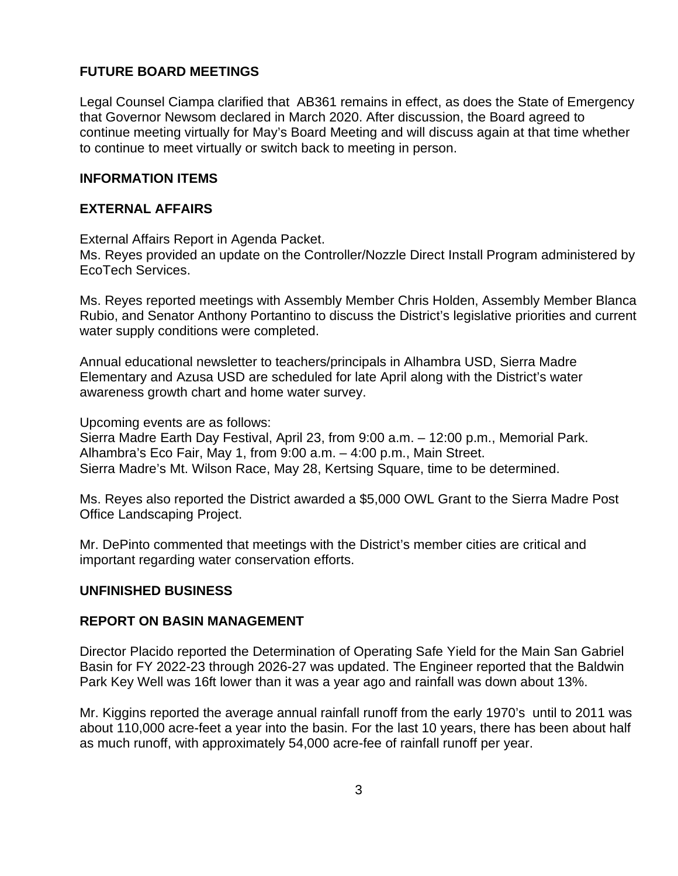# **FUTURE BOARD MEETINGS**

Legal Counsel Ciampa clarified that AB361 remains in effect, as does the State of Emergency that Governor Newsom declared in March 2020. After discussion, the Board agreed to continue meeting virtually for May's Board Meeting and will discuss again at that time whether to continue to meet virtually or switch back to meeting in person.

## **INFORMATION ITEMS**

## **EXTERNAL AFFAIRS**

External Affairs Report in Agenda Packet.

Ms. Reyes provided an update on the Controller/Nozzle Direct Install Program administered by EcoTech Services.

Ms. Reyes reported meetings with Assembly Member Chris Holden, Assembly Member Blanca Rubio, and Senator Anthony Portantino to discuss the District's legislative priorities and current water supply conditions were completed.

Annual educational newsletter to teachers/principals in Alhambra USD, Sierra Madre Elementary and Azusa USD are scheduled for late April along with the District's water awareness growth chart and home water survey.

Upcoming events are as follows:

Sierra Madre Earth Day Festival, April 23, from 9:00 a.m. – 12:00 p.m., Memorial Park. Alhambra's Eco Fair, May 1, from 9:00 a.m. – 4:00 p.m., Main Street. Sierra Madre's Mt. Wilson Race, May 28, Kertsing Square, time to be determined.

Ms. Reyes also reported the District awarded a \$5,000 OWL Grant to the Sierra Madre Post Office Landscaping Project.

Mr. DePinto commented that meetings with the District's member cities are critical and important regarding water conservation efforts.

### **UNFINISHED BUSINESS**

### **REPORT ON BASIN MANAGEMENT**

Director Placido reported the Determination of Operating Safe Yield for the Main San Gabriel Basin for FY 2022-23 through 2026-27 was updated. The Engineer reported that the Baldwin Park Key Well was 16ft lower than it was a year ago and rainfall was down about 13%.

Mr. Kiggins reported the average annual rainfall runoff from the early 1970's until to 2011 was about 110,000 acre-feet a year into the basin. For the last 10 years, there has been about half as much runoff, with approximately 54,000 acre-fee of rainfall runoff per year.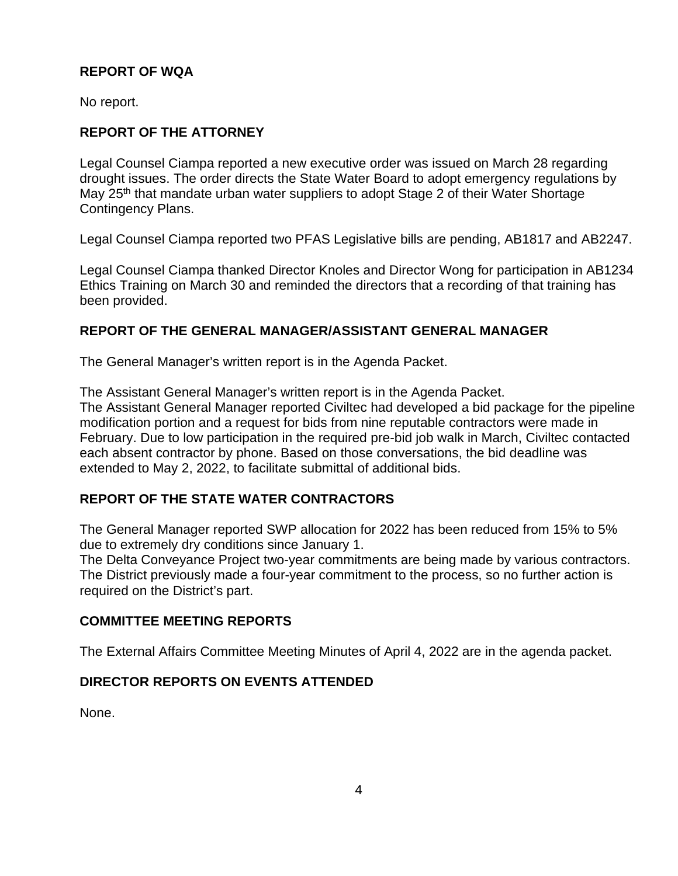# **REPORT OF WQA**

No report.

# **REPORT OF THE ATTORNEY**

Legal Counsel Ciampa reported a new executive order was issued on March 28 regarding drought issues. The order directs the State Water Board to adopt emergency regulations by May 25<sup>th</sup> that mandate urban water suppliers to adopt Stage 2 of their Water Shortage Contingency Plans.

Legal Counsel Ciampa reported two PFAS Legislative bills are pending, AB1817 and AB2247.

Legal Counsel Ciampa thanked Director Knoles and Director Wong for participation in AB1234 Ethics Training on March 30 and reminded the directors that a recording of that training has been provided.

## **REPORT OF THE GENERAL MANAGER/ASSISTANT GENERAL MANAGER**

The General Manager's written report is in the Agenda Packet.

The Assistant General Manager's written report is in the Agenda Packet.

The Assistant General Manager reported Civiltec had developed a bid package for the pipeline modification portion and a request for bids from nine reputable contractors were made in February. Due to low participation in the required pre-bid job walk in March, Civiltec contacted each absent contractor by phone. Based on those conversations, the bid deadline was extended to May 2, 2022, to facilitate submittal of additional bids.

# **REPORT OF THE STATE WATER CONTRACTORS**

The General Manager reported SWP allocation for 2022 has been reduced from 15% to 5% due to extremely dry conditions since January 1.

The Delta Conveyance Project two-year commitments are being made by various contractors. The District previously made a four-year commitment to the process, so no further action is required on the District's part.

# **COMMITTEE MEETING REPORTS**

The External Affairs Committee Meeting Minutes of April 4, 2022 are in the agenda packet.

# **DIRECTOR REPORTS ON EVENTS ATTENDED**

None.